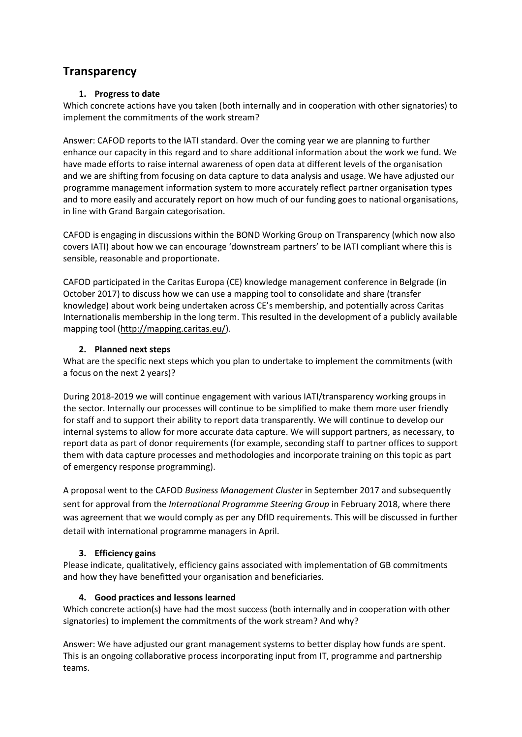# **Transparency**

## **1. Progress to date**

Which concrete actions have you taken (both internally and in cooperation with other signatories) to implement the commitments of the work stream?

Answer: CAFOD reports to the IATI standard. Over the coming year we are planning to further enhance our capacity in this regard and to share additional information about the work we fund. We have made efforts to raise internal awareness of open data at different levels of the organisation and we are shifting from focusing on data capture to data analysis and usage. We have adjusted our programme management information system to more accurately reflect partner organisation types and to more easily and accurately report on how much of our funding goes to national organisations, in line with Grand Bargain categorisation.

CAFOD is engaging in discussions within the BOND Working Group on Transparency (which now also covers IATI) about how we can encourage 'downstream partners' to be IATI compliant where this is sensible, reasonable and proportionate.

CAFOD participated in the Caritas Europa (CE) knowledge management conference in Belgrade (in October 2017) to discuss how we can use a mapping tool to consolidate and share (transfer knowledge) about work being undertaken across CE's membership, and potentially across Caritas Internationalis membership in the long term. This resulted in the development of a publicly available mapping tool [\(http://mapping.caritas.eu/\)](http://mapping.caritas.eu/).

## **2. Planned next steps**

What are the specific next steps which you plan to undertake to implement the commitments (with a focus on the next 2 years)?

During 2018-2019 we will continue engagement with various IATI/transparency working groups in the sector. Internally our processes will continue to be simplified to make them more user friendly for staff and to support their ability to report data transparently. We will continue to develop our internal systems to allow for more accurate data capture. We will support partners, as necessary, to report data as part of donor requirements (for example, seconding staff to partner offices to support them with data capture processes and methodologies and incorporate training on this topic as part of emergency response programming).

A proposal went to the CAFOD *Business Management Cluster* in September 2017 and subsequently sent for approval from the *International Programme Steering Group* in February 2018, where there was agreement that we would comply as per any DfID requirements. This will be discussed in further detail with international programme managers in April.

## **3. Efficiency gains**

Please indicate, qualitatively, efficiency gains associated with implementation of GB commitments and how they have benefitted your organisation and beneficiaries.

## **4. Good practices and lessons learned**

Which concrete action(s) have had the most success (both internally and in cooperation with other signatories) to implement the commitments of the work stream? And why?

Answer: We have adjusted our grant management systems to better display how funds are spent. This is an ongoing collaborative process incorporating input from IT, programme and partnership teams.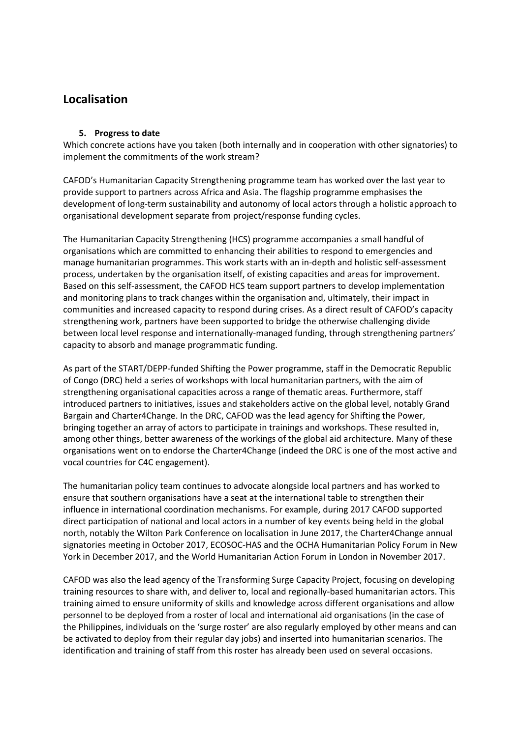# **Localisation**

#### **5. Progress to date**

Which concrete actions have you taken (both internally and in cooperation with other signatories) to implement the commitments of the work stream?

CAFOD's Humanitarian Capacity Strengthening programme team has worked over the last year to provide support to partners across Africa and Asia. The flagship programme emphasises the development of long-term sustainability and autonomy of local actors through a holistic approach to organisational development separate from project/response funding cycles.

The Humanitarian Capacity Strengthening (HCS) programme accompanies a small handful of organisations which are committed to enhancing their abilities to respond to emergencies and manage humanitarian programmes. This work starts with an in-depth and holistic self-assessment process, undertaken by the organisation itself, of existing capacities and areas for improvement. Based on this self-assessment, the CAFOD HCS team support partners to develop implementation and monitoring plans to track changes within the organisation and, ultimately, their impact in communities and increased capacity to respond during crises. As a direct result of CAFOD's capacity strengthening work, partners have been supported to bridge the otherwise challenging divide between local level response and internationally-managed funding, through strengthening partners' capacity to absorb and manage programmatic funding.

As part of the START/DEPP-funded Shifting the Power programme, staff in the Democratic Republic of Congo (DRC) held a series of workshops with local humanitarian partners, with the aim of strengthening organisational capacities across a range of thematic areas. Furthermore, staff introduced partners to initiatives, issues and stakeholders active on the global level, notably Grand Bargain and Charter4Change. In the DRC, CAFOD was the lead agency for Shifting the Power, bringing together an array of actors to participate in trainings and workshops. These resulted in, among other things, better awareness of the workings of the global aid architecture. Many of these organisations went on to endorse the Charter4Change (indeed the DRC is one of the most active and vocal countries for C4C engagement).

The humanitarian policy team continues to advocate alongside local partners and has worked to ensure that southern organisations have a seat at the international table to strengthen their influence in international coordination mechanisms. For example, during 2017 CAFOD supported direct participation of national and local actors in a number of key events being held in the global north, notably the Wilton Park Conference on localisation in June 2017, the Charter4Change annual signatories meeting in October 2017, ECOSOC-HAS and the OCHA Humanitarian Policy Forum in New York in December 2017, and the World Humanitarian Action Forum in London in November 2017.

CAFOD was also the lead agency of the Transforming Surge Capacity Project, focusing on developing training resources to share with, and deliver to, local and regionally-based humanitarian actors. This training aimed to ensure uniformity of skills and knowledge across different organisations and allow personnel to be deployed from a roster of local and international aid organisations (in the case of the Philippines, individuals on the 'surge roster' are also regularly employed by other means and can be activated to deploy from their regular day jobs) and inserted into humanitarian scenarios. The identification and training of staff from this roster has already been used on several occasions.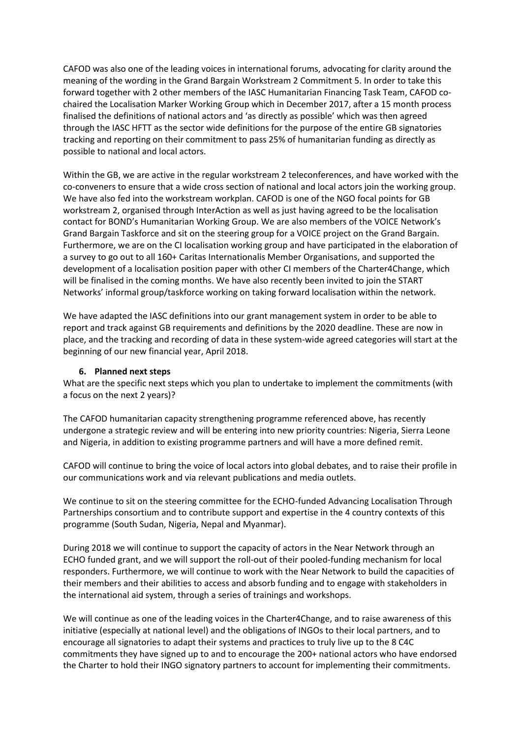CAFOD was also one of the leading voices in international forums, advocating for clarity around the meaning of the wording in the Grand Bargain Workstream 2 Commitment 5. In order to take this forward together with 2 other members of the IASC Humanitarian Financing Task Team, CAFOD cochaired the Localisation Marker Working Group which in December 2017, after a 15 month process finalised the definitions of national actors and 'as directly as possible' which was then agreed through the IASC HFTT as the sector wide definitions for the purpose of the entire GB signatories tracking and reporting on their commitment to pass 25% of humanitarian funding as directly as possible to national and local actors.

Within the GB, we are active in the regular workstream 2 teleconferences, and have worked with the co-conveners to ensure that a wide cross section of national and local actors join the working group. We have also fed into the workstream workplan. CAFOD is one of the NGO focal points for GB workstream 2, organised through InterAction as well as just having agreed to be the localisation contact for BOND's Humanitarian Working Group. We are also members of the VOICE Network's Grand Bargain Taskforce and sit on the steering group for a VOICE project on the Grand Bargain. Furthermore, we are on the CI localisation working group and have participated in the elaboration of a survey to go out to all 160+ Caritas Internationalis Member Organisations, and supported the development of a localisation position paper with other CI members of the Charter4Change, which will be finalised in the coming months. We have also recently been invited to join the START Networks' informal group/taskforce working on taking forward localisation within the network.

We have adapted the IASC definitions into our grant management system in order to be able to report and track against GB requirements and definitions by the 2020 deadline. These are now in place, and the tracking and recording of data in these system-wide agreed categories will start at the beginning of our new financial year, April 2018.

#### **6. Planned next steps**

What are the specific next steps which you plan to undertake to implement the commitments (with a focus on the next 2 years)?

The CAFOD humanitarian capacity strengthening programme referenced above, has recently undergone a strategic review and will be entering into new priority countries: Nigeria, Sierra Leone and Nigeria, in addition to existing programme partners and will have a more defined remit.

CAFOD will continue to bring the voice of local actors into global debates, and to raise their profile in our communications work and via relevant publications and media outlets.

We continue to sit on the steering committee for the ECHO-funded Advancing Localisation Through Partnerships consortium and to contribute support and expertise in the 4 country contexts of this programme (South Sudan, Nigeria, Nepal and Myanmar).

During 2018 we will continue to support the capacity of actors in the Near Network through an ECHO funded grant, and we will support the roll-out of their pooled-funding mechanism for local responders. Furthermore, we will continue to work with the Near Network to build the capacities of their members and their abilities to access and absorb funding and to engage with stakeholders in the international aid system, through a series of trainings and workshops.

We will continue as one of the leading voices in the Charter4Change, and to raise awareness of this initiative (especially at national level) and the obligations of INGOs to their local partners, and to encourage all signatories to adapt their systems and practices to truly live up to the 8 C4C commitments they have signed up to and to encourage the 200+ national actors who have endorsed the Charter to hold their INGO signatory partners to account for implementing their commitments.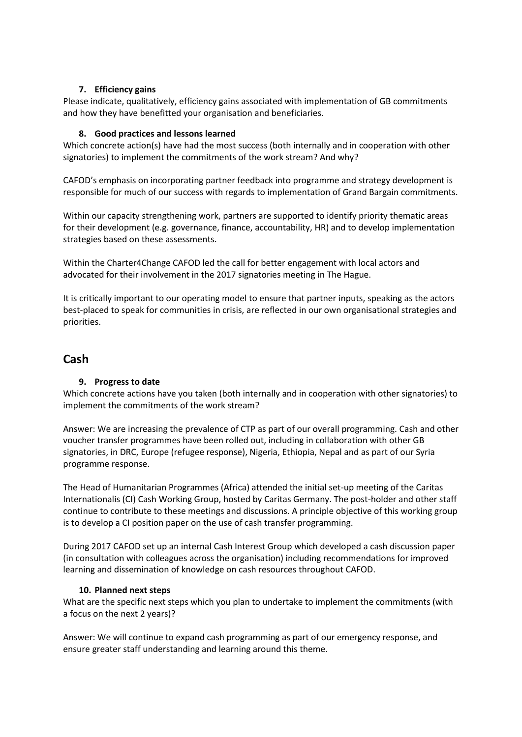## **7. Efficiency gains**

Please indicate, qualitatively, efficiency gains associated with implementation of GB commitments and how they have benefitted your organisation and beneficiaries.

## **8. Good practices and lessons learned**

Which concrete action(s) have had the most success (both internally and in cooperation with other signatories) to implement the commitments of the work stream? And why?

CAFOD's emphasis on incorporating partner feedback into programme and strategy development is responsible for much of our success with regards to implementation of Grand Bargain commitments.

Within our capacity strengthening work, partners are supported to identify priority thematic areas for their development (e.g. governance, finance, accountability, HR) and to develop implementation strategies based on these assessments.

Within the Charter4Change CAFOD led the call for better engagement with local actors and advocated for their involvement in the 2017 signatories meeting in The Hague.

It is critically important to our operating model to ensure that partner inputs, speaking as the actors best-placed to speak for communities in crisis, are reflected in our own organisational strategies and priorities.

# **Cash**

## **9. Progress to date**

Which concrete actions have you taken (both internally and in cooperation with other signatories) to implement the commitments of the work stream?

Answer: We are increasing the prevalence of CTP as part of our overall programming. Cash and other voucher transfer programmes have been rolled out, including in collaboration with other GB signatories, in DRC, Europe (refugee response), Nigeria, Ethiopia, Nepal and as part of our Syria programme response.

The Head of Humanitarian Programmes (Africa) attended the initial set-up meeting of the Caritas Internationalis (CI) Cash Working Group, hosted by Caritas Germany. The post-holder and other staff continue to contribute to these meetings and discussions. A principle objective of this working group is to develop a CI position paper on the use of cash transfer programming.

During 2017 CAFOD set up an internal Cash Interest Group which developed a cash discussion paper (in consultation with colleagues across the organisation) including recommendations for improved learning and dissemination of knowledge on cash resources throughout CAFOD.

#### **10. Planned next steps**

What are the specific next steps which you plan to undertake to implement the commitments (with a focus on the next 2 years)?

Answer: We will continue to expand cash programming as part of our emergency response, and ensure greater staff understanding and learning around this theme.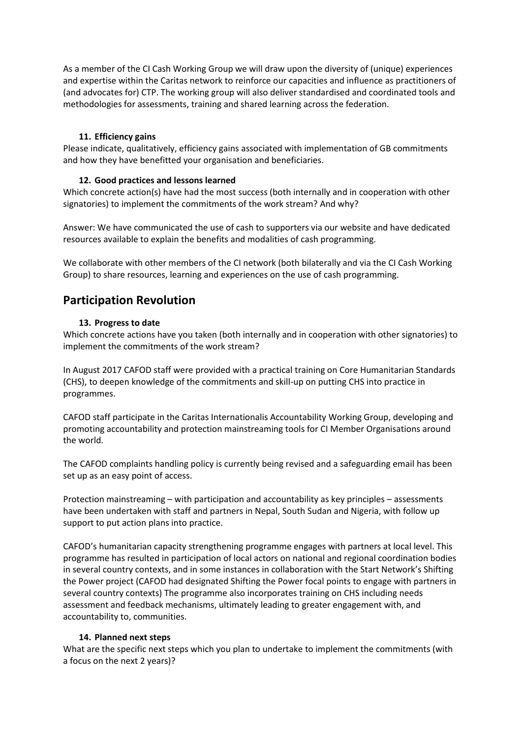As a member of the CI Cash Working Group we will draw upon the diversity of (unique) experiences and expertise within the Caritas network to reinforce our capacities and influence as practitioners of (and advocates for) CTP. The working group will also deliver standardised and coordinated tools and methodologies for assessments, training and shared learning across the federation.

## **11. Efficiency gains**

Please indicate, qualitatively, efficiency gains associated with implementation of GB commitments and how they have benefitted your organisation and beneficiaries.

## **12. Good practices and lessons learned**

Which concrete action(s) have had the most success (both internally and in cooperation with other signatories) to implement the commitments of the work stream? And why?

Answer: We have communicated the use of cash to supporters via our website and have dedicated resources available to explain the benefits and modalities of cash programming.

We collaborate with other members of the CI network (both bilaterally and via the CI Cash Working Group) to share resources, learning and experiences on the use of cash programming.

# **Participation Revolution**

## **13. Progress to date**

Which concrete actions have you taken (both internally and in cooperation with other signatories) to implement the commitments of the work stream?

In August 2017 CAFOD staff were provided with a practical training on Core Humanitarian Standards (CHS), to deepen knowledge of the commitments and skill-up on putting CHS into practice in programmes.

CAFOD staff participate in the Caritas Internationalis Accountability Working Group, developing and promoting accountability and protection mainstreaming tools for CI Member Organisations around the world.

The CAFOD complaints handling policy is currently being revised and a safeguarding email has been set up as an easy point of access.

Protection mainstreaming – with participation and accountability as key principles – assessments have been undertaken with staff and partners in Nepal, South Sudan and Nigeria, with follow up support to put action plans into practice.

CAFOD's humanitarian capacity strengthening programme engages with partners at local level. This programme has resulted in participation of local actors on national and regional coordination bodies in several country contexts, and in some instances in collaboration with the Start Network's Shifting the Power project (CAFOD had designated Shifting the Power focal points to engage with partners in several country contexts) The programme also incorporates training on CHS including needs assessment and feedback mechanisms, ultimately leading to greater engagement with, and accountability to, communities.

## **14. Planned next steps**

What are the specific next steps which you plan to undertake to implement the commitments (with a focus on the next 2 years)?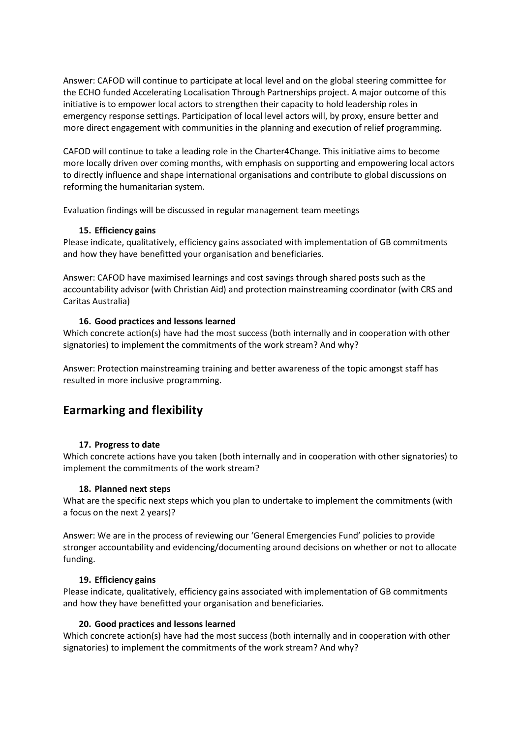Answer: CAFOD will continue to participate at local level and on the global steering committee for the ECHO funded Accelerating Localisation Through Partnerships project. A major outcome of this initiative is to empower local actors to strengthen their capacity to hold leadership roles in emergency response settings. Participation of local level actors will, by proxy, ensure better and more direct engagement with communities in the planning and execution of relief programming.

CAFOD will continue to take a leading role in the Charter4Change. This initiative aims to become more locally driven over coming months, with emphasis on supporting and empowering local actors to directly influence and shape international organisations and contribute to global discussions on reforming the humanitarian system.

Evaluation findings will be discussed in regular management team meetings

#### **15. Efficiency gains**

Please indicate, qualitatively, efficiency gains associated with implementation of GB commitments and how they have benefitted your organisation and beneficiaries.

Answer: CAFOD have maximised learnings and cost savings through shared posts such as the accountability advisor (with Christian Aid) and protection mainstreaming coordinator (with CRS and Caritas Australia)

#### **16. Good practices and lessons learned**

Which concrete action(s) have had the most success (both internally and in cooperation with other signatories) to implement the commitments of the work stream? And why?

Answer: Protection mainstreaming training and better awareness of the topic amongst staff has resulted in more inclusive programming.

# **Earmarking and flexibility**

#### **17. Progress to date**

Which concrete actions have you taken (both internally and in cooperation with other signatories) to implement the commitments of the work stream?

#### **18. Planned next steps**

What are the specific next steps which you plan to undertake to implement the commitments (with a focus on the next 2 years)?

Answer: We are in the process of reviewing our 'General Emergencies Fund' policies to provide stronger accountability and evidencing/documenting around decisions on whether or not to allocate funding.

#### **19. Efficiency gains**

Please indicate, qualitatively, efficiency gains associated with implementation of GB commitments and how they have benefitted your organisation and beneficiaries.

#### **20. Good practices and lessons learned**

Which concrete action(s) have had the most success (both internally and in cooperation with other signatories) to implement the commitments of the work stream? And why?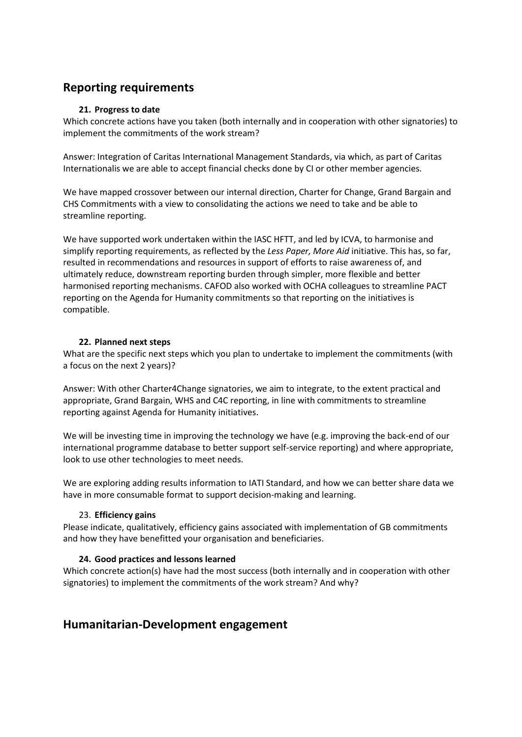# **Reporting requirements**

## **21. Progress to date**

Which concrete actions have you taken (both internally and in cooperation with other signatories) to implement the commitments of the work stream?

Answer: Integration of Caritas International Management Standards, via which, as part of Caritas Internationalis we are able to accept financial checks done by CI or other member agencies.

We have mapped crossover between our internal direction, Charter for Change, Grand Bargain and CHS Commitments with a view to consolidating the actions we need to take and be able to streamline reporting.

We have supported work undertaken within the IASC HFTT, and led by ICVA, to harmonise and simplify reporting requirements, as reflected by the *Less Paper, More Aid* initiative. This has, so far, resulted in recommendations and resources in support of efforts to raise awareness of, and ultimately reduce, downstream reporting burden through simpler, more flexible and better harmonised reporting mechanisms. CAFOD also worked with OCHA colleagues to streamline PACT reporting on the Agenda for Humanity commitments so that reporting on the initiatives is compatible.

## **22. Planned next steps**

What are the specific next steps which you plan to undertake to implement the commitments (with a focus on the next 2 years)?

Answer: With other Charter4Change signatories, we aim to integrate, to the extent practical and appropriate, Grand Bargain, WHS and C4C reporting, in line with commitments to streamline reporting against Agenda for Humanity initiatives.

We will be investing time in improving the technology we have (e.g. improving the back-end of our international programme database to better support self-service reporting) and where appropriate, look to use other technologies to meet needs.

We are exploring adding results information to IATI Standard, and how we can better share data we have in more consumable format to support decision-making and learning.

#### 23. **Efficiency gains**

Please indicate, qualitatively, efficiency gains associated with implementation of GB commitments and how they have benefitted your organisation and beneficiaries.

## **24. Good practices and lessons learned**

Which concrete action(s) have had the most success (both internally and in cooperation with other signatories) to implement the commitments of the work stream? And why?

# **Humanitarian-Development engagement**